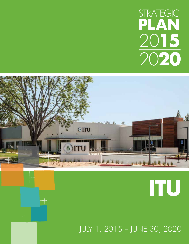### STRATEGIC **PLAN** 20**15** 20**20**



JULY 1, 2015 – JUNE 30, 2020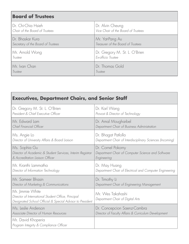| <b>Board of Trustees</b>           |                                     |
|------------------------------------|-------------------------------------|
| Dr. Chi-Chia Hsieh                 | Dr. Alvin Cheung                    |
| Chair of the Board of Trustees     | Vice Chair of the Board of Trustees |
| Dr. Bhaskar Kura                   | Mr. Yat-Pang Au                     |
| Secretary of the Board of Trustees | Treasurer of the Board of Trustees  |
| Mr. Arnold Wong                    | Dr. Gregory M. St. L. O'Brien       |
| Trustee                            | Ex-officio Trustee                  |
| Mr. Ivan Chan                      | Dr. Thomas Gold                     |
| Trustee                            | Trustee                             |

| <b>Executives, Department Chairs, and Senior Staff</b>                                                                               |                                                           |
|--------------------------------------------------------------------------------------------------------------------------------------|-----------------------------------------------------------|
| Dr. Gregory M. St. L. O'Brien                                                                                                        | Dr. Karl Wang                                             |
| President & Chief Executive Officer                                                                                                  | Provost & Director of Technology                          |
| Mr. Edward Lam                                                                                                                       | Dr. Amal Mougharbel                                       |
| Chief Financial Officer                                                                                                              | Department Chair of Business Administration               |
| Ms. Angie Lo                                                                                                                         | Dr. Bhagat Patlolla                                       |
| Director of University Affairs & Board Liaison                                                                                       | Department Chair of Interdisciplinary Sciences (Incoming) |
| Ms. Sophia Gu                                                                                                                        | Dr. Cornel Pokorny                                        |
| Director of Academic & Student Services, Interim Registrar                                                                           | Department Chair of Computer Science and Software         |
| & Accreditation Liaison Officer                                                                                                      | Engineering                                               |
| Mr. Kranthi Lammatha                                                                                                                 | Dr. May Huang                                             |
| Director of Information Technology                                                                                                   | Department Chair of Electrical and Computer Engineering   |
| Mr. Sameer Bhasin                                                                                                                    | Dr. Timothy Li                                            |
| Director of Marketing & Communications                                                                                               | Department Chair of Engineering Management                |
| Mr. Jimmie White<br>Director of International Student Office, Principal<br>Designated School Official & Special Advisor to President | Mr. Wes Takahashi<br>Department Chair of Digital Arts     |
| Ms. Leslie Anderson                                                                                                                  | Dr. Concepcion Saenz-Cambra                               |
| Associate Director of Human Resources                                                                                                | Director of Faculty Affairs & Curriculum Development      |
| Mr. David Khoperia<br>Program Integrity & Compliance Officer                                                                         |                                                           |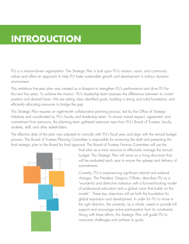#### **INTRODUCTION**

ITU is a mission-driven organization. The Strategic Plan is built upon ITU's mission, vision, and community values and offers an approach to help ITU foster sustainable growth and development in today's dynamic environment.

This ambitious five-year plan was created as a blueprint to strengthen ITU's performance and drive ITU for the next five years. To achieve the mission, ITU's leadership team assesses the differences between its current position and desired future. We are setting clear identified goals, building a strong and solid foundation, and efficiently allocating resources to bridge the gap.

This Strategic Plan requires an eight-month collaborative planning process, led by the Office of Strategic Initiatives and coordinated by ITU's faculty and leadership team. To ensure mutual respect, agreement, and commitment from everyone, the planning team gathered extensive input from ITU's Board of Trustees, faculty, students, staff, and other stakeholders.

The effective date of this plan was adjusted to coincide with ITU's fiscal year and align with the annual budget process. The Board of Trustees Planning Committee is responsible for reviewing the draft and presenting the final strategic plan to the Board for final approval. The Board of Trustees Finance Committee will use the



final plan as a main resource to effectively manage the annual budget. This Strategic Plan will serve as a living document that will be evaluated each year to ensure the upkeep and delivery of commitments.

Currently, ITU is experiencing significant internal and external changes. The President, Gregory O'Brien, describes ITU as a "wonderful and distinctive institution with a forward-looking model of professional education and a global vision that builds on this model." These key objectives will set forth the foundation for global expansion and development. In order for ITU to move in the right direction, the university, as a whole, needs to provide full support and encourage active participation from its constituents. Along with these efforts, this Strategic Plan will guide ITU to overcome challenges and achieve its goals.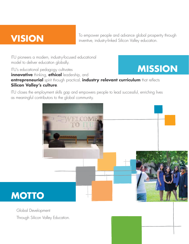#### **VISION**

To empower people and advance global prosperity through inventive, industry-linked Silicon Valley education.

ITU pioneers a modern, industry-focused educational model to deliver education globally.

**MISSION** ITU's educational pedagogy cultivates **innovative** thinking, **ethical** leadership, and **entrepreneurial** spirit through practical, **industry relevant curriculum** that reflects **Silicon Valley's culture**.

ITU closes the employment skills gap and empowers people to lead successful, enriching lives as meaningful contributors to the global community.



Global Development Through Silicon Valley Education.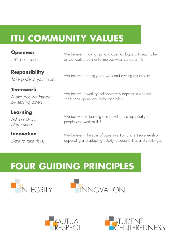#### **ITU COMMUNITY VALUES**

| <b>Openness</b><br>Let's be honest.                           | We believe in having real and open dialogue with each other<br>as we work to constantly improve what we do at ITU.                    |
|---------------------------------------------------------------|---------------------------------------------------------------------------------------------------------------------------------------|
| <b>Responsibility</b><br>Take pride in your work.             | We believe in doing good work and owning our choices.                                                                                 |
| <b>Teamwork</b><br>Make positive impact<br>by serving others. | We believe in working collaboratively together to address<br>challenges openly and help each other.                                   |
| Learning<br>Ask questions.<br>Stay curious.                   | We believe that learning and growing is a top priority for<br>people who work at ITU.                                                 |
| <b>Innovation</b><br>Dare to take risks.                      | We believe in the spirit of agile invention and entrepreneurship,<br>responding and adapting quickly to opportunities and challenges. |

#### **FOUR GUIDING PRINCIPLES**







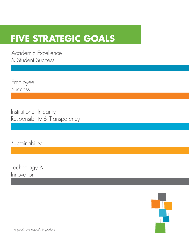#### **FIVE STRATEGIC GOALS**

Academic Excellence & Student Success

Employee Success

Institutional Integrity, Responsibility & Transparency

Sustainability

Technology & Innovation



*The goals are equally important.*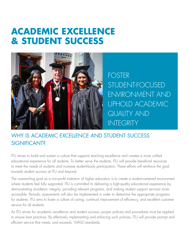#### **ACADEMIC EXCELLENCE & STUDENT SUCCESS**



FOSTER STUDENT-FOCUSED ENVIRONMENT AND UPHOLD ACADEMIC QUALITY AND **INTEGRITY** 

#### WHY IS ACADEMIC EXCELLENCE AND STUDENT SUCCESS **SIGNIFICANT?**

ITU strives to build and sustain a culture that supports teaching excellence and creates a more unified educational experience for all students. To better serve the students, ITU will provide beneficial resources to meet the needs of students and increase student-body participation. These efforts will reinforce the goal towards student success at ITU and beyond.

The overarching goal as a non-profit institution of higher education is to create a student-centered environment where students feel fully supported. ITU is committed to delivering a high-quality educational experience by demonstrating academic integrity, providing relevant programs, and making student support services more accessible. Periodic assessments will also be implemented in order to determine the appropriate programs for students. ITU aims to foster a culture of caring, continual improvement of efficiency, and excellent customer service for all students.

As ITU strives for academic excellence and student success, proper policies and procedures must be applied to ensure best practices. By effectively implementing and enforcing such policies, ITU will provide prompt and efficient service that meets, and exceeds, WASC-standards.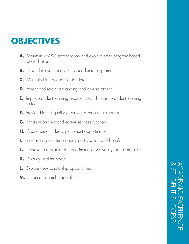# & STUDENT SUCCESS ACADEMIC EXCELLENCE

- **A.** Maintain WASC accreditation and explore other program-based accreditation
- **B.** Expand relevant and quality academic programs
- **C.** Maintain high academic standards
- **D.** Attract and retain outstanding and diverse faculty
- **E.** Improve student learning experience and measure student learning outcomes
- **F.** Provide highest quality of customer service to students
- **G.** Enhance and expand career services function
- **H.** Create direct industry placement opportunities
- **I.** Increase overall student-body participation and benefits
- **J.** Improve student retention and increase two-year graduation rate
- **K.** Diversify student body
- **L.** Explore new scholarship opportunities
- **M.** Enhance research capabilities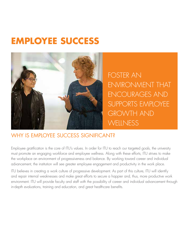#### **EMPLOYEE SUCCESS**



FOSTER AN ENVIRONMENT THAT ENCOURAGES AND SUPPORTS EMPLOYEE GROWTH AND **WELLNESS** 

#### WHY IS EMPLOYEE SUCCESS SIGNIFICANT?

Employee gratification is the core of ITU's values. In order for ITU to reach our targeted goals, the university must promote an engaging workforce and employee wellness. Along with these efforts, ITU strives to make the workplace an environment of progressiveness and balance. By working toward career and individual advancement, the institution will see greater employee engagement and productivity in the work place.

ITU believes in creating a work culture of progressive development. As part of this culture, ITU will identify and repair internal weaknesses and make great efforts to secure a happier and, thus, more productive work environment. ITU will provide faculty and staff with the possibility of career and individual advancement through in-depth evaluations, training and education, and great healthcare benefits.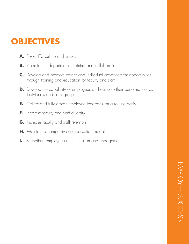- **A.** Foster ITU culture and values
- **B.** Promote interdepartmental training and collaboration
- **C.** Develop and promote career and individual advancement opportunities through training and education for faculty and staff
- **D.** Develop the capability of employees and evaluate their performance, as individuals and as a group
- **E.** Collect and fully assess employee feedback on a routine basis
- **F.** Increase faculty and staff diversity
- **G.** Increase faculty and staff retention
- **H.** Maintain a competitive compensation model
- **I.** Strengthen employee communication and engagement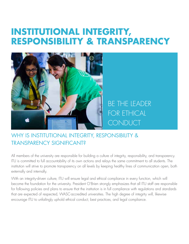#### **INSTITUTIONAL INTEGRITY, RESPONSIBILITY & TRANSPARENCY**



BE THE LEADER FOR ETHICAL **CONDUCT** 

#### WHY IS INSTITUTIONAL INTEGRITY, RESPONSIBILITY & TRANSPARENCY SIGNIFICANT?

All members of the university are responsible for building a culture of integrity, responsibility, and transparency. ITU is committed to full accountability of its own actions and relays the same commitment to all students. The institution will strive to promote transparency on all levels by keeping healthy lines of communication open, both externally and internally.

With an integrity-driven culture, ITU will ensure legal and ethical compliance in every function, which will become the foundation for the university. President O'Brien strongly emphasizes that all ITU staff are responsible for following policies and plans to ensure that the institution is in full compliance with regulations and standards that are expected of respected, WASC-accredited universities. The high degree of integrity will, likewise encourage ITU to unfailingly uphold ethical conduct, best practices, and legal compliance.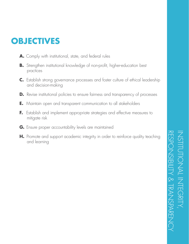- **A.** Comply with institutional, state, and federal rules
- **B.** Strengthen institutional knowledge of non-profit, higher-education best practices
- **C.** Establish strong governance processes and foster culture of ethical leadership and decision-making
- **D.** Revise institutional policies to ensure fairness and transparency of processes
- **E.** Maintain open and transparent communication to all stakeholders
- **F.** Establish and implement appropriate strategies and effective measures to mitigate risk
- **G.** Ensure proper accountability levels are maintained
- **H.** Promote and support academic integrity in order to reinforce quality teaching and learning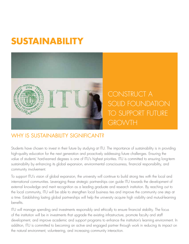#### **SUSTAINABILITY**



CONSTRUCT A SOLID FOUNDATION TO SUPPORT FUTURE **GROWTH** 

#### WHY IS SUSTAINABILITY SIGNIFICANT?

Students have chosen to invest in their future by studying at ITU. The importance of sustainability is in providing high-quality education for the next generation and proactively addressing future challenges. Ensuring the value of students' hard-earned degrees is one of ITU's highest priorities. ITU is committed to ensuring long-term sustainability by enhancing its global expansion, environmental consciousness, financial responsibility, and community involvement.

To support ITU's vision of global expansion, the university will continue to build strong ties with the local and international communities. Leveraging these strategic partnerships can guide ITU towards the development of external knowledge and merit recognition as a leading graduate and research institution. By reaching out to the local community, ITU will be able to strengthen local business ties and improve the community one step at a time. Establishing lasting global partnerships will help the university acquire high visibility and mutual-learning benefits.

ITU will manage spending and investments responsibly and ethically to ensure financial stability. The focus of the institution will be in investments that upgrade the existing infrastructure, promote faculty and staff development, and improve academic and support programs to enhance the institution's learning environment. In addition, ITU is committed to becoming an active and engaged partner through work in reducing its impact on the natural environment, volunteering, and increasing community interaction.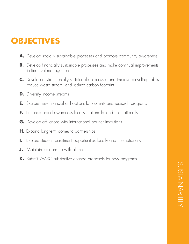- **A.** Develop socially sustainable processes and promote community awareness
- **B.** Develop financially sustainable processes and make continual improvements in financial management
- **C.** Develop environmentally sustainable processes and improve recycling habits, reduce waste stream, and reduce carbon footprint
- **D.** Diversify income streams
- **E.** Explore new financial aid options for students and research programs
- **F.** Enhance brand awareness locally, nationally, and internationally
- **G.** Develop affiliations with international partner institutions
- **H.** Expand long-term domestic partnerships
- **I.** Explore student recruitment opportunities locally and internationally
- **J.** Maintain relationship with alumni
- **K.** Submit WASC substantive change proposals for new programs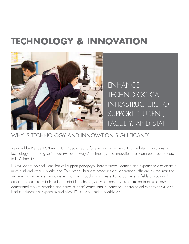#### **TECHNOLOGY & INNOVATION**



ENHANCE **TECHNOLOGICAL** INFRASTRUCTURE TO SUPPORT STUDENT, FACULTY, AND STAFF

#### WHY IS TECHNOLOGY AND INNOVATION SIGNIFICANT?

As stated by President O'Brien, ITU is "dedicated to fostering and communicating the latest innovations in technology, and doing so in industry-relevant ways." Technology and innovation must continue to be the core to ITU's identity.

ITU will adopt new solutions that will support pedagogy, benefit student learning and experience and create a more fluid and efficient workplace. To advance business processes and operational efficiencies, the institution will invest in and utilize innovative technology. In addition, it is essential to advance its fields of study and expand the curriculum to include the latest in technology development. ITU is committed to explore new educational tools to broaden and enrich students' educational experience. Technological expansion will also lead to educational expansion and allow ITU to serve student worldwide.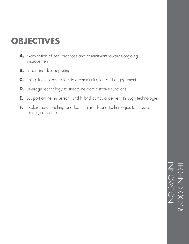# IZNOVATIO Z TECHNOLOGY &

- **A.** Examination of best practices and commitment towards ongoing improvement
- **B.** Streamline data reporting
- **C.** Using Technology to facilitate communication and engagement
- **D.** Leverage technology to streamline administrative functions
- **E.** Support online, in-person, and hybrid curricula delivery through technologies
- **F.** Explore new teaching and learning trends and technologies to improve learning outcomes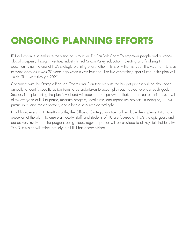ITU will continue to embrace the vision of its founder, Dr. Shu-Park Chan: To empower people and advance global prosperity through inventive, industry-linked Silicon Valley education. Creating and finalizing this document is not the end of ITU's strategic planning effort; rather, this is only the first step. The vision of ITU is as relevant today as it was 20 years ago when it was founded. The five overarching goals listed in this plan will guide ITU's work through 2020.

Concurrent with the Strategic Plan, an Operational Plan that ties with the budget process will be developed annually to identify specific action items to be undertaken to accomplish each objective under each goal. Success in implementing the plan is vital and will require a campus-wide effort. The annual planning cycle will allow everyone at ITU to pause, measure progress, recalibrate, and reprioritize projects. In doing so, ITU will pursue its mission most effectively and allocate resources accordingly.

In addition, every six to twelfth months, the Office of Strategic Initiatives will evaluate the implementation and execution of the plan. To ensure all faculty, staff, and students of ITU are focused on ITU's strategic goals and are actively involved in the progress being made, regular updates will be provided to all key stakeholders. By 2020, this plan will reflect proudly in all ITU has accomplished.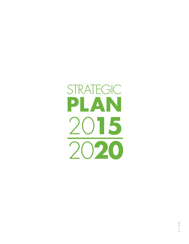## STRATEGIC **PLAN** 20**15** 20**20**